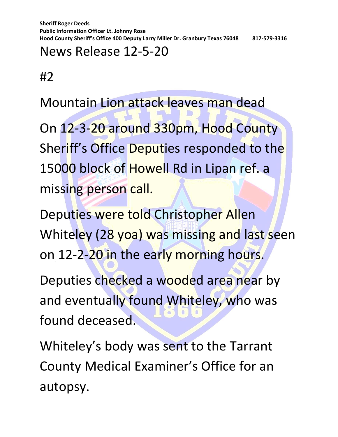**Sheriff Roger Deeds Public Information Officer Lt. Johnny Rose Hood County Sheriff's Office 400 Deputy Larry Miller Dr. Granbury Texas 76048 817-579-3316**

## News Release 12-5-20

#2

Mountain Lion attack leaves man dead

On 12-3-20 around 330pm, Hood County Sheriff's Office Deputies responded to the 15000 block of Howell Rd in Lipan ref. a missing person call.

Deputies were told Christopher Allen Whiteley (28 yoa) was missing and last seen on 12-2-20 in the early morning hours.

Deputies checked a wooded area near by and eventually found Whiteley, who was found deceased.

Whiteley's body was sent to the Tarrant County Medical Examiner's Office for an autopsy.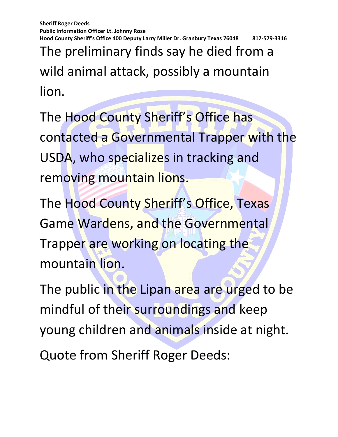**Sheriff Roger Deeds Public Information Officer Lt. Johnny Rose Hood County Sheriff's Office 400 Deputy Larry Miller Dr. Granbury Texas 76048 817-579-3316**

The preliminary finds say he died from a wild animal attack, possibly a mountain lion.

The Hood County Sheriff's Office has contacted a Governmental Trapper with the USDA, who specializes in tracking and removing mountain lions.

The Hood County Sheriff's Office, Texas Game Wardens, and the Governmental Trapper are working on locating the mountain lion.

The public in the Lipan area are urged to be mindful of their surroundings and keep young children and animals inside at night.

Quote from Sheriff Roger Deeds: